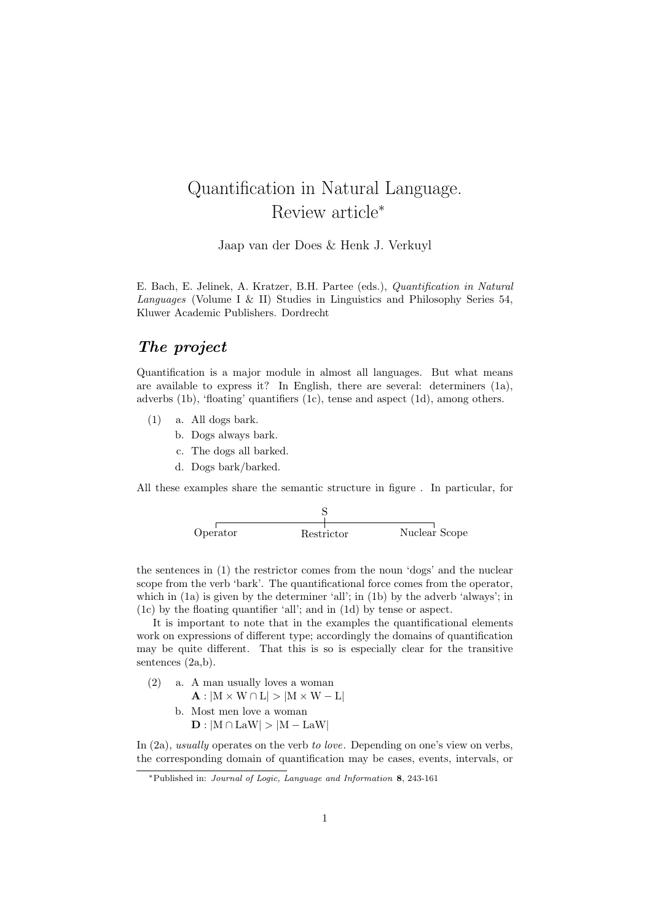# Quantification in Natural Language. Review article<sup>∗</sup>

Jaap van der Does & Henk J. Verkuyl

E. Bach, E. Jelinek, A. Kratzer, B.H. Partee (eds.), Quantification in Natural Languages (Volume I & II) Studies in Linguistics and Philosophy Series 54, Kluwer Academic Publishers. Dordrecht

# The project

Quantification is a major module in almost all languages. But what means are available to express it? In English, there are several: determiners (1a), adverbs (1b), 'floating' quantifiers (1c), tense and aspect (1d), among others.

- (1) a. All dogs bark.
	- b. Dogs always bark.
	- c. The dogs all barked.
	- d. Dogs bark/barked.

All these examples share the semantic structure in figure . In particular, for

| Operator | Restrictor | Nuclear Scope |
|----------|------------|---------------|

the sentences in (1) the restrictor comes from the noun 'dogs' and the nuclear scope from the verb 'bark'. The quantificational force comes from the operator, which in (1a) is given by the determiner 'all'; in (1b) by the adverb 'always'; in (1c) by the floating quantifier 'all'; and in (1d) by tense or aspect.

It is important to note that in the examples the quantificational elements work on expressions of different type; accordingly the domains of quantification may be quite different. That this is so is especially clear for the transitive sentences  $(2a,b)$ .

(2) a. A man usually loves a woman  
\n
$$
\mathbf{A}: |M \times W \cap L| > |M \times W - L|
$$
\nb. Most men love a woman  
\n
$$
\mathbf{D}: |M \cap LaW| > |M - LaW|
$$

In (2a), usually operates on the verb to love. Depending on one's view on verbs, the corresponding domain of quantification may be cases, events, intervals, or

<sup>∗</sup>Published in: Journal of Logic, Language and Information 8, 243-161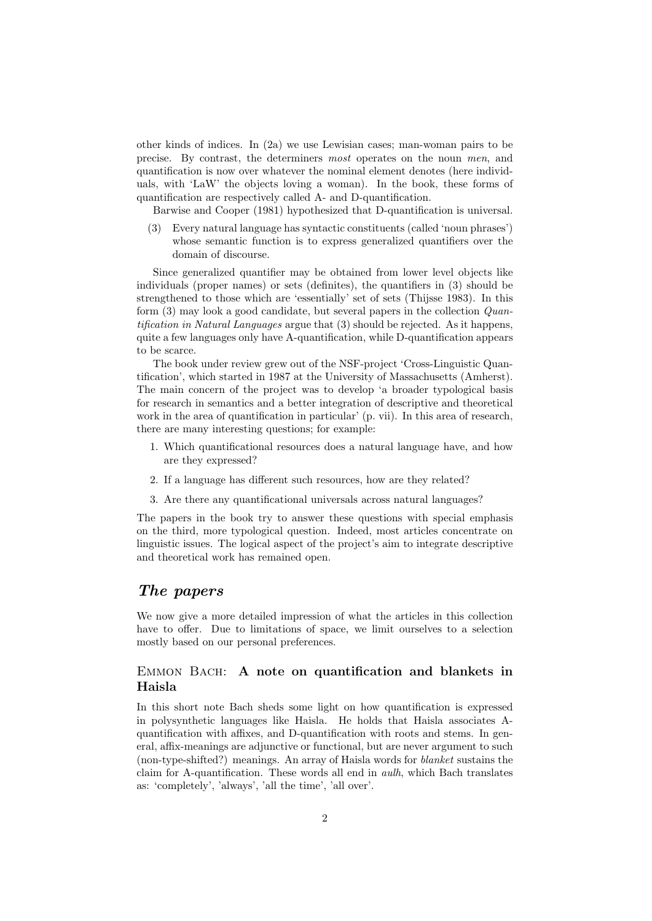other kinds of indices. In (2a) we use Lewisian cases; man-woman pairs to be precise. By contrast, the determiners most operates on the noun men, and quantification is now over whatever the nominal element denotes (here individuals, with 'LaW' the objects loving a woman). In the book, these forms of quantification are respectively called A- and D-quantification.

Barwise and Cooper (1981) hypothesized that D-quantification is universal.

(3) Every natural language has syntactic constituents (called 'noun phrases') whose semantic function is to express generalized quantifiers over the domain of discourse.

Since generalized quantifier may be obtained from lower level objects like individuals (proper names) or sets (definites), the quantifiers in (3) should be strengthened to those which are 'essentially' set of sets (Thijsse 1983). In this form (3) may look a good candidate, but several papers in the collection Quantification in Natural Languages argue that (3) should be rejected. As it happens, quite a few languages only have A-quantification, while D-quantification appears to be scarce.

The book under review grew out of the NSF-project 'Cross-Linguistic Quantification', which started in 1987 at the University of Massachusetts (Amherst). The main concern of the project was to develop 'a broader typological basis for research in semantics and a better integration of descriptive and theoretical work in the area of quantification in particular' (p. vii). In this area of research, there are many interesting questions; for example:

- 1. Which quantificational resources does a natural language have, and how are they expressed?
- 2. If a language has different such resources, how are they related?
- 3. Are there any quantificational universals across natural languages?

The papers in the book try to answer these questions with special emphasis on the third, more typological question. Indeed, most articles concentrate on linguistic issues. The logical aspect of the project's aim to integrate descriptive and theoretical work has remained open.

# The papers

We now give a more detailed impression of what the articles in this collection have to offer. Due to limitations of space, we limit ourselves to a selection mostly based on our personal preferences.

#### Emmon Bach: A note on quantification and blankets in Haisla

In this short note Bach sheds some light on how quantification is expressed in polysynthetic languages like Haisla. He holds that Haisla associates Aquantification with affixes, and D-quantification with roots and stems. In general, affix-meanings are adjunctive or functional, but are never argument to such (non-type-shifted?) meanings. An array of Haisla words for blanket sustains the claim for A-quantification. These words all end in aulh, which Bach translates as: 'completely', 'always', 'all the time', 'all over'.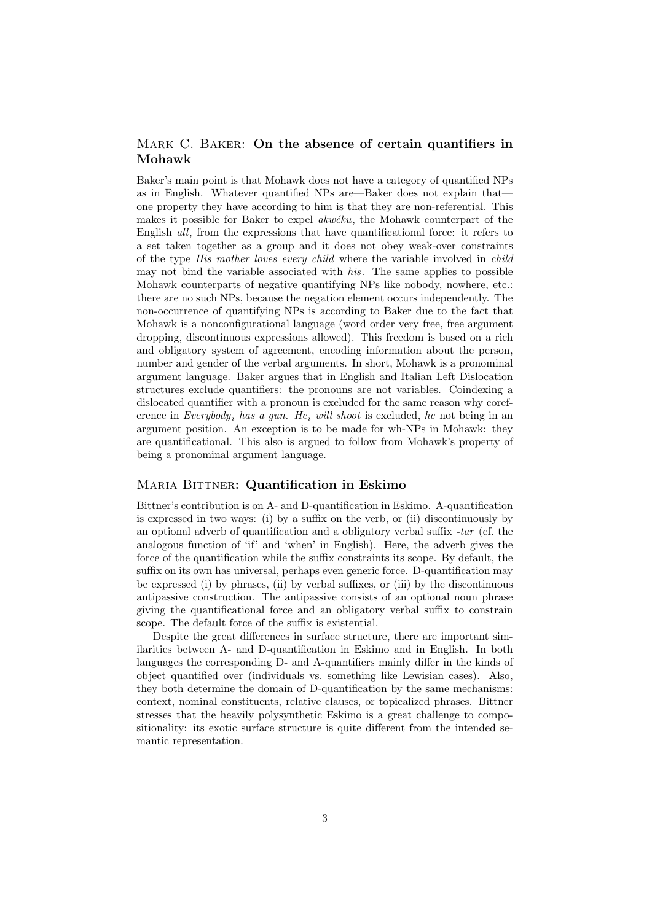# MARK C. BAKER: On the absence of certain quantifiers in Mohawk

Baker's main point is that Mohawk does not have a category of quantified NPs as in English. Whatever quantified NPs are—Baker does not explain that one property they have according to him is that they are non-referential. This makes it possible for Baker to expel  $akw\acute{e}ku$ , the Mohawk counterpart of the English all, from the expressions that have quantificational force: it refers to a set taken together as a group and it does not obey weak-over constraints of the type His mother loves every child where the variable involved in child may not bind the variable associated with his. The same applies to possible Mohawk counterparts of negative quantifying NPs like nobody, nowhere, etc.: there are no such NPs, because the negation element occurs independently. The non-occurrence of quantifying NPs is according to Baker due to the fact that Mohawk is a nonconfigurational language (word order very free, free argument dropping, discontinuous expressions allowed). This freedom is based on a rich and obligatory system of agreement, encoding information about the person, number and gender of the verbal arguments. In short, Mohawk is a pronominal argument language. Baker argues that in English and Italian Left Dislocation structures exclude quantifiers: the pronouns are not variables. Coindexing a dislocated quantifier with a pronoun is excluded for the same reason why coreference in Everybody<sub>i</sub> has a gun. He<sub>i</sub> will shoot is excluded, he not being in an argument position. An exception is to be made for wh-NPs in Mohawk: they are quantificational. This also is argued to follow from Mohawk's property of being a pronominal argument language.

#### MARIA BITTNER: Quantification in Eskimo

Bittner's contribution is on A- and D-quantification in Eskimo. A-quantification is expressed in two ways: (i) by a suffix on the verb, or (ii) discontinuously by an optional adverb of quantification and a obligatory verbal suffix  $\tan$  (cf. the analogous function of 'if' and 'when' in English). Here, the adverb gives the force of the quantification while the suffix constraints its scope. By default, the suffix on its own has universal, perhaps even generic force. D-quantification may be expressed (i) by phrases, (ii) by verbal suffixes, or (iii) by the discontinuous antipassive construction. The antipassive consists of an optional noun phrase giving the quantificational force and an obligatory verbal suffix to constrain scope. The default force of the suffix is existential.

Despite the great differences in surface structure, there are important similarities between A- and D-quantification in Eskimo and in English. In both languages the corresponding D- and A-quantifiers mainly differ in the kinds of object quantified over (individuals vs. something like Lewisian cases). Also, they both determine the domain of D-quantification by the same mechanisms: context, nominal constituents, relative clauses, or topicalized phrases. Bittner stresses that the heavily polysynthetic Eskimo is a great challenge to compositionality: its exotic surface structure is quite different from the intended semantic representation.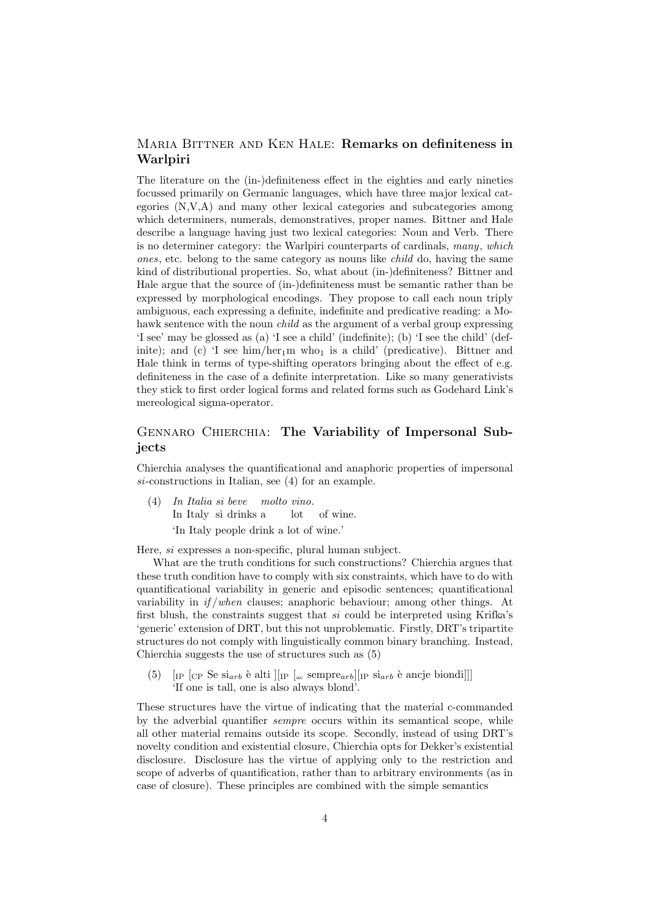# MARIA BITTNER AND KEN HALE: Remarks on definiteness in Warlpiri

The literature on the (in-)definiteness effect in the eighties and early nineties focussed primarily on Germanic languages, which have three major lexical categories (N,V,A) and many other lexical categories and subcategories among which determiners, numerals, demonstratives, proper names. Bittner and Hale describe a language having just two lexical categories: Noun and Verb. There is no determiner category: the Warlpiri counterparts of cardinals, many, which ones, etc. belong to the same category as nouns like child do, having the same kind of distributional properties. So, what about (in-)definiteness? Bittner and Hale argue that the source of (in-)definiteness must be semantic rather than be expressed by morphological encodings. They propose to call each noun triply ambiguous, each expressing a definite, indefinite and predicative reading: a Mohawk sentence with the noun *child* as the argument of a verbal group expressing 'I see' may be glossed as (a) 'I see a child' (indefinite); (b) 'I see the child' (definite); and (c) 'I see him/her<sub>1</sub>m who<sub>1</sub> is a child' (predicative). Bittner and Hale think in terms of type-shifting operators bringing about the effect of e.g. definiteness in the case of a definite interpretation. Like so many generativists they stick to first order logical forms and related forms such as Godehard Link's mereological sigma-operator.

# Gennaro Chierchia: The Variability of Impersonal Subjects

Chierchia analyses the quantificational and anaphoric properties of impersonal si-constructions in Italian, see (4) for an example.

(4) In Italia si beve molto vino. In Italy si drinks a lot of wine. 'In Italy people drink a lot of wine.'

Here, si expresses a non-specific, plural human subject.

What are the truth conditions for such constructions? Chierchia argues that these truth condition have to comply with six constraints, which have to do with quantificational variability in generic and episodic sentences; quantificational variability in  $if/when$  clauses; anaphoric behaviour; among other things. At first blush, the constraints suggest that  $si$  could be interpreted using Krifka's 'generic' extension of DRT, but this not unproblematic. Firstly, DRT's tripartite structures do not comply with linguistically common binary branching. Instead, Chierchia suggests the use of structures such as (5)

(5) [IP [CP Se  $\vec{s}_{arb}$  è alti  $\begin{bmatrix} \begin{bmatrix} I_P \end{bmatrix} \begin{bmatrix} a_c \end{bmatrix}$  sempre $a_{rb}$ ] $\begin{bmatrix} \begin{bmatrix} I_P \end{bmatrix} \begin{bmatrix} a_c \end{bmatrix} \end{bmatrix}$ 'If one is tall, one is also always blond'.

These structures have the virtue of indicating that the material c-commanded by the adverbial quantifier sempre occurs within its semantical scope, while all other material remains outside its scope. Secondly, instead of using DRT's novelty condition and existential closure, Chierchia opts for Dekker's existential disclosure. Disclosure has the virtue of applying only to the restriction and scope of adverbs of quantification, rather than to arbitrary environments (as in case of closure). These principles are combined with the simple semantics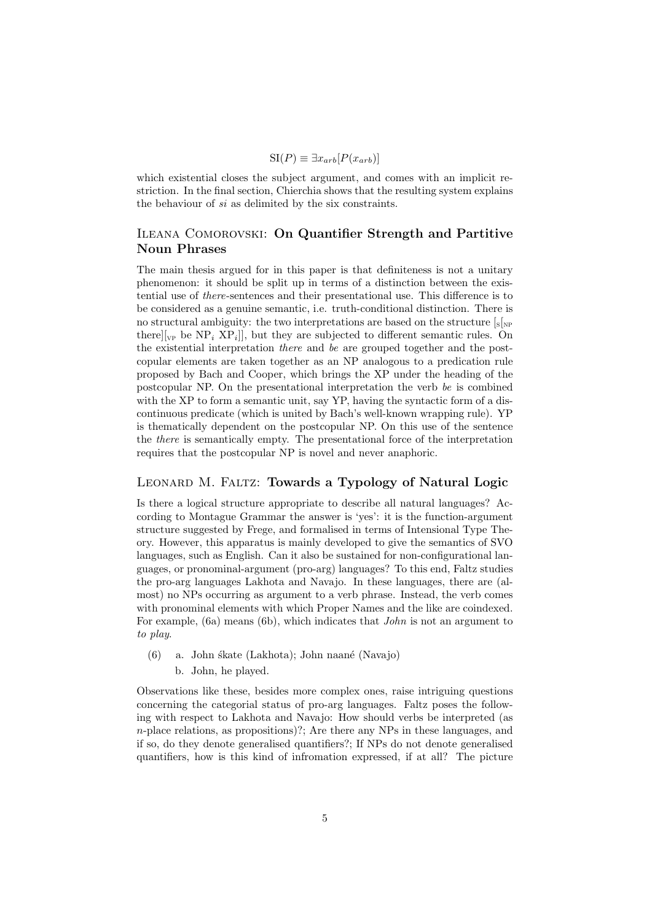$$
SI(P) \equiv \exists x_{arb} [P(x_{arb})]
$$

which existential closes the subject argument, and comes with an implicit restriction. In the final section, Chierchia shows that the resulting system explains the behaviour of si as delimited by the six constraints.

# ILEANA COMOROVSKI: On Quantifier Strength and Partitive Noun Phrases

The main thesis argued for in this paper is that definiteness is not a unitary phenomenon: it should be split up in terms of a distinction between the existential use of there-sentences and their presentational use. This difference is to be considered as a genuine semantic, i.e. truth-conditional distinction. There is no structural ambiguity: the two interpretations are based on the structure  $\left[\sqrt{s_{\text{np}}}\right]$ there  $\vert_{\rm VP}$  be NP<sub>i</sub> XP<sub>i</sub>], but they are subjected to different semantic rules. On the existential interpretation there and be are grouped together and the postcopular elements are taken together as an NP analogous to a predication rule proposed by Bach and Cooper, which brings the XP under the heading of the postcopular NP. On the presentational interpretation the verb be is combined with the XP to form a semantic unit, say YP, having the syntactic form of a discontinuous predicate (which is united by Bach's well-known wrapping rule). YP is thematically dependent on the postcopular NP. On this use of the sentence the there is semantically empty. The presentational force of the interpretation requires that the postcopular NP is novel and never anaphoric.

#### LEONARD M. FALTZ: Towards a Typology of Natural Logic

Is there a logical structure appropriate to describe all natural languages? According to Montague Grammar the answer is 'yes': it is the function-argument structure suggested by Frege, and formalised in terms of Intensional Type Theory. However, this apparatus is mainly developed to give the semantics of SVO languages, such as English. Can it also be sustained for non-configurational languages, or pronominal-argument (pro-arg) languages? To this end, Faltz studies the pro-arg languages Lakhota and Navajo. In these languages, there are (almost) no NPs occurring as argument to a verb phrase. Instead, the verb comes with pronominal elements with which Proper Names and the like are coindexed. For example, (6a) means (6b), which indicates that *John* is not an argument to to play.

(6) a. John śkate (Lakhota); John naané (Navajo) b. John, he played.

Observations like these, besides more complex ones, raise intriguing questions concerning the categorial status of pro-arg languages. Faltz poses the following with respect to Lakhota and Navajo: How should verbs be interpreted (as  $n$ -place relations, as propositions)?: Are there any NPs in these languages, and if so, do they denote generalised quantifiers?; If NPs do not denote generalised quantifiers, how is this kind of infromation expressed, if at all? The picture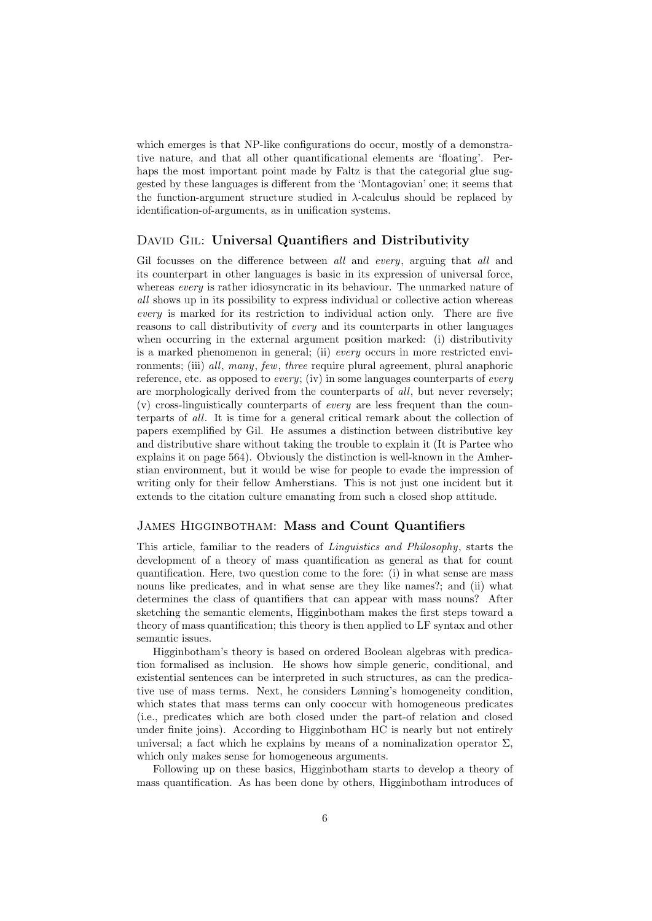which emerges is that NP-like configurations do occur, mostly of a demonstrative nature, and that all other quantificational elements are 'floating'. Perhaps the most important point made by Faltz is that the categorial glue suggested by these languages is different from the 'Montagovian' one; it seems that the function-argument structure studied in  $\lambda$ -calculus should be replaced by identification-of-arguments, as in unification systems.

#### DAVID GIL: Universal Quantifiers and Distributivity

Gil focusses on the difference between all and every, arguing that all and its counterpart in other languages is basic in its expression of universal force, whereas *every* is rather idiosyncratic in its behaviour. The unmarked nature of all shows up in its possibility to express individual or collective action whereas every is marked for its restriction to individual action only. There are five reasons to call distributivity of every and its counterparts in other languages when occurring in the external argument position marked: (i) distributivity is a marked phenomenon in general; (ii) every occurs in more restricted environments; (iii) all, many, few, three require plural agreement, plural anaphoric reference, etc. as opposed to *every*; (iv) in some languages counterparts of *every* are morphologically derived from the counterparts of all, but never reversely;  $(v)$  cross-linguistically counterparts of *every* are less frequent than the counterparts of all. It is time for a general critical remark about the collection of papers exemplified by Gil. He assumes a distinction between distributive key and distributive share without taking the trouble to explain it (It is Partee who explains it on page 564). Obviously the distinction is well-known in the Amherstian environment, but it would be wise for people to evade the impression of writing only for their fellow Amherstians. This is not just one incident but it extends to the citation culture emanating from such a closed shop attitude.

#### JAMES HIGGINBOTHAM: Mass and Count Quantifiers

This article, familiar to the readers of Linguistics and Philosophy, starts the development of a theory of mass quantification as general as that for count quantification. Here, two question come to the fore: (i) in what sense are mass nouns like predicates, and in what sense are they like names?; and (ii) what determines the class of quantifiers that can appear with mass nouns? After sketching the semantic elements, Higginbotham makes the first steps toward a theory of mass quantification; this theory is then applied to LF syntax and other semantic issues.

Higginbotham's theory is based on ordered Boolean algebras with predication formalised as inclusion. He shows how simple generic, conditional, and existential sentences can be interpreted in such structures, as can the predicative use of mass terms. Next, he considers Lønning's homogeneity condition, which states that mass terms can only cooccur with homogeneous predicates (i.e., predicates which are both closed under the part-of relation and closed under finite joins). According to Higginbotham HC is nearly but not entirely universal; a fact which he explains by means of a nominalization operator  $\Sigma$ , which only makes sense for homogeneous arguments.

Following up on these basics, Higginbotham starts to develop a theory of mass quantification. As has been done by others, Higginbotham introduces of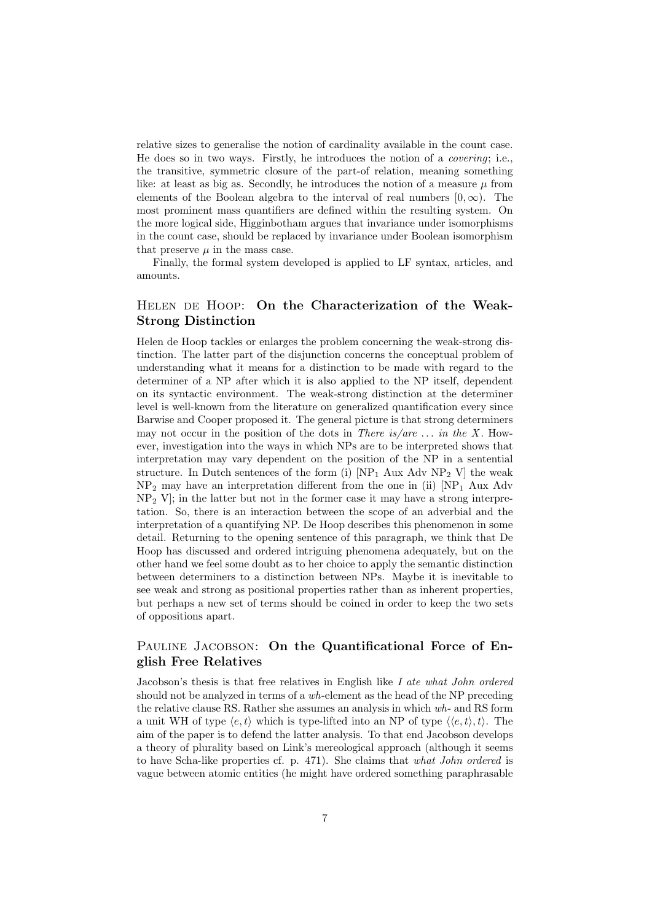relative sizes to generalise the notion of cardinality available in the count case. He does so in two ways. Firstly, he introduces the notion of a covering; i.e., the transitive, symmetric closure of the part-of relation, meaning something like: at least as big as. Secondly, he introduces the notion of a measure  $\mu$  from elements of the Boolean algebra to the interval of real numbers  $[0, \infty)$ . The most prominent mass quantifiers are defined within the resulting system. On the more logical side, Higginbotham argues that invariance under isomorphisms in the count case, should be replaced by invariance under Boolean isomorphism that preserve  $\mu$  in the mass case.

Finally, the formal system developed is applied to LF syntax, articles, and amounts.

## HELEN DE HOOP: On the Characterization of the Weak-Strong Distinction

Helen de Hoop tackles or enlarges the problem concerning the weak-strong distinction. The latter part of the disjunction concerns the conceptual problem of understanding what it means for a distinction to be made with regard to the determiner of a NP after which it is also applied to the NP itself, dependent on its syntactic environment. The weak-strong distinction at the determiner level is well-known from the literature on generalized quantification every since Barwise and Cooper proposed it. The general picture is that strong determiners may not occur in the position of the dots in There is/are  $\dots$  in the X. However, investigation into the ways in which NPs are to be interpreted shows that interpretation may vary dependent on the position of the NP in a sentential structure. In Dutch sentences of the form (i)  $[NP<sub>1</sub> Aux Adv NP<sub>2</sub> V]$  the weak  $NP_2$  may have an interpretation different from the one in (ii)  $[NP_1$  Aux Adv  $NP<sub>2</sub>$  V; in the latter but not in the former case it may have a strong interpretation. So, there is an interaction between the scope of an adverbial and the interpretation of a quantifying NP. De Hoop describes this phenomenon in some detail. Returning to the opening sentence of this paragraph, we think that De Hoop has discussed and ordered intriguing phenomena adequately, but on the other hand we feel some doubt as to her choice to apply the semantic distinction between determiners to a distinction between NPs. Maybe it is inevitable to see weak and strong as positional properties rather than as inherent properties, but perhaps a new set of terms should be coined in order to keep the two sets of oppositions apart.

# PAULINE JACOBSON: On the Quantificational Force of English Free Relatives

Jacobson's thesis is that free relatives in English like I ate what John ordered should not be analyzed in terms of a wh-element as the head of the NP preceding the relative clause RS. Rather she assumes an analysis in which wh- and RS form a unit WH of type  $\langle e, t \rangle$  which is type-lifted into an NP of type  $\langle \langle e, t \rangle, t \rangle$ . The aim of the paper is to defend the latter analysis. To that end Jacobson develops a theory of plurality based on Link's mereological approach (although it seems to have Scha-like properties cf. p. 471). She claims that what John ordered is vague between atomic entities (he might have ordered something paraphrasable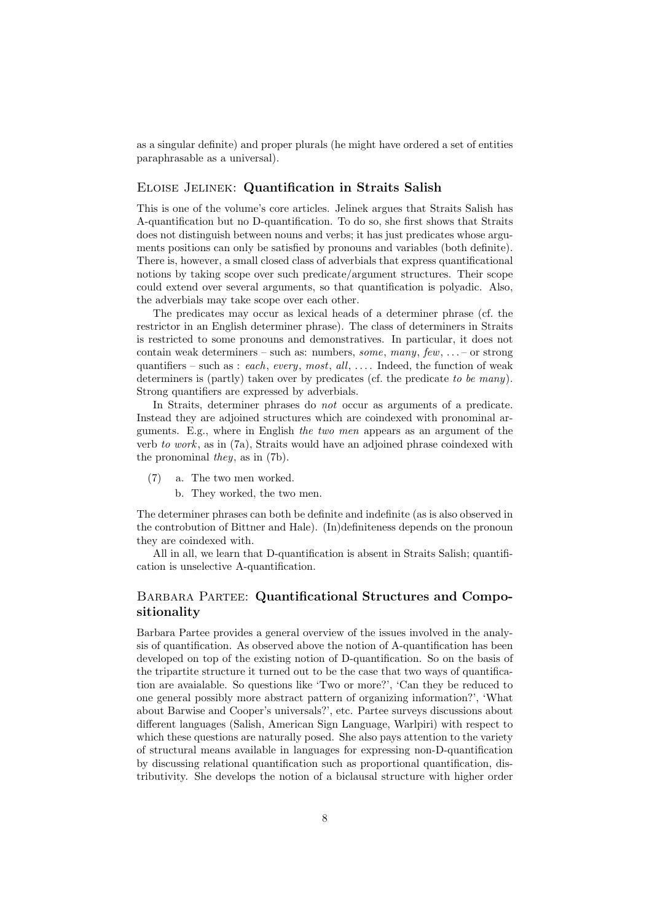as a singular definite) and proper plurals (he might have ordered a set of entities paraphrasable as a universal).

#### Eloise Jelinek: Quantification in Straits Salish

This is one of the volume's core articles. Jelinek argues that Straits Salish has A-quantification but no D-quantification. To do so, she first shows that Straits does not distinguish between nouns and verbs; it has just predicates whose arguments positions can only be satisfied by pronouns and variables (both definite). There is, however, a small closed class of adverbials that express quantificational notions by taking scope over such predicate/argument structures. Their scope could extend over several arguments, so that quantification is polyadic. Also, the adverbials may take scope over each other.

The predicates may occur as lexical heads of a determiner phrase (cf. the restrictor in an English determiner phrase). The class of determiners in Straits is restricted to some pronouns and demonstratives. In particular, it does not contain weak determiners – such as: numbers, some, many, few, ... – or strong quantifiers – such as : each, every, most, all, .... Indeed, the function of weak determiners is (partly) taken over by predicates (cf. the predicate to be many). Strong quantifiers are expressed by adverbials.

In Straits, determiner phrases do not occur as arguments of a predicate. Instead they are adjoined structures which are coindexed with pronominal arguments. E.g., where in English the two men appears as an argument of the verb to work, as in (7a), Straits would have an adjoined phrase coindexed with the pronominal they, as in (7b).

- (7) a. The two men worked.
	- b. They worked, the two men.

The determiner phrases can both be definite and indefinite (as is also observed in the controbution of Bittner and Hale). (In)definiteness depends on the pronoun they are coindexed with.

All in all, we learn that D-quantification is absent in Straits Salish; quantification is unselective A-quantification.

### BARBARA PARTEE: Quantificational Structures and Compositionality

Barbara Partee provides a general overview of the issues involved in the analysis of quantification. As observed above the notion of A-quantification has been developed on top of the existing notion of D-quantification. So on the basis of the tripartite structure it turned out to be the case that two ways of quantification are avaialable. So questions like 'Two or more?', 'Can they be reduced to one general possibly more abstract pattern of organizing information?', 'What about Barwise and Cooper's universals?', etc. Partee surveys discussions about different languages (Salish, American Sign Language, Warlpiri) with respect to which these questions are naturally posed. She also pays attention to the variety of structural means available in languages for expressing non-D-quantification by discussing relational quantification such as proportional quantification, distributivity. She develops the notion of a biclausal structure with higher order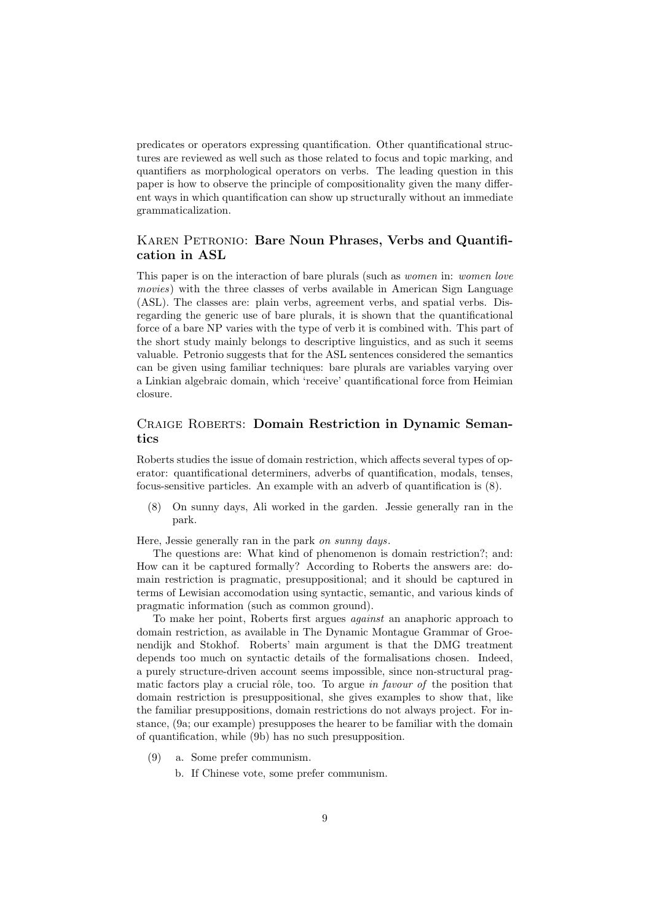predicates or operators expressing quantification. Other quantificational structures are reviewed as well such as those related to focus and topic marking, and quantifiers as morphological operators on verbs. The leading question in this paper is how to observe the principle of compositionality given the many different ways in which quantification can show up structurally without an immediate grammaticalization.

# Karen Petronio: Bare Noun Phrases, Verbs and Quantification in ASL

This paper is on the interaction of bare plurals (such as women in: women love movies) with the three classes of verbs available in American Sign Language (ASL). The classes are: plain verbs, agreement verbs, and spatial verbs. Disregarding the generic use of bare plurals, it is shown that the quantificational force of a bare NP varies with the type of verb it is combined with. This part of the short study mainly belongs to descriptive linguistics, and as such it seems valuable. Petronio suggests that for the ASL sentences considered the semantics can be given using familiar techniques: bare plurals are variables varying over a Linkian algebraic domain, which 'receive' quantificational force from Heimian closure.

### CRAIGE ROBERTS: Domain Restriction in Dynamic Semantics

Roberts studies the issue of domain restriction, which affects several types of operator: quantificational determiners, adverbs of quantification, modals, tenses, focus-sensitive particles. An example with an adverb of quantification is (8).

(8) On sunny days, Ali worked in the garden. Jessie generally ran in the park.

Here, Jessie generally ran in the park on sunny days.

The questions are: What kind of phenomenon is domain restriction?; and: How can it be captured formally? According to Roberts the answers are: domain restriction is pragmatic, presuppositional; and it should be captured in terms of Lewisian accomodation using syntactic, semantic, and various kinds of pragmatic information (such as common ground).

To make her point, Roberts first argues against an anaphoric approach to domain restriction, as available in The Dynamic Montague Grammar of Groenendijk and Stokhof. Roberts' main argument is that the DMG treatment depends too much on syntactic details of the formalisations chosen. Indeed, a purely structure-driven account seems impossible, since non-structural pragmatic factors play a crucial rôle, too. To argue in favour of the position that domain restriction is presuppositional, she gives examples to show that, like the familiar presuppositions, domain restrictions do not always project. For instance, (9a; our example) presupposes the hearer to be familiar with the domain of quantification, while (9b) has no such presupposition.

- (9) a. Some prefer communism.
	- b. If Chinese vote, some prefer communism.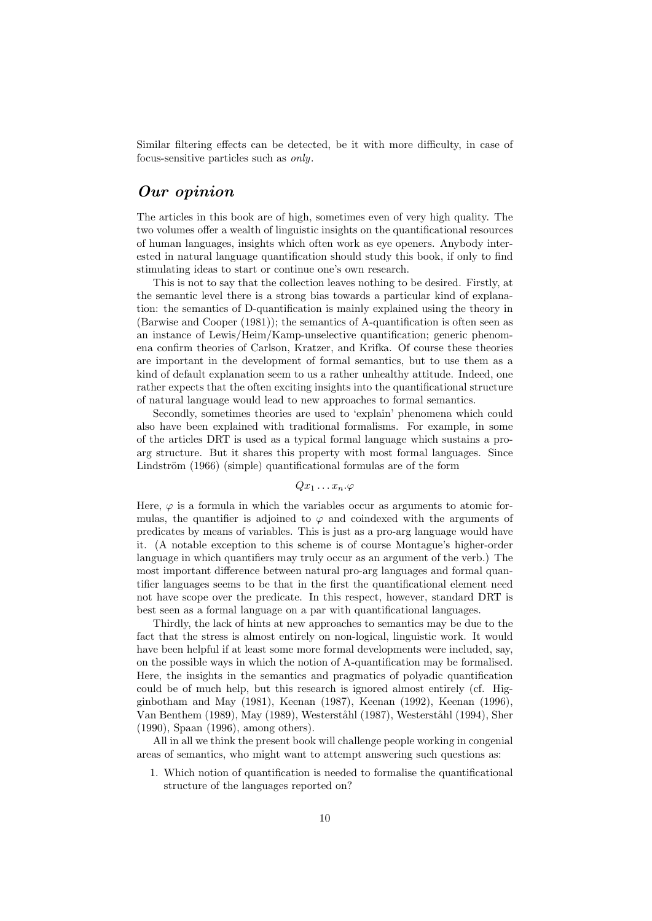Similar filtering effects can be detected, be it with more difficulty, in case of focus-sensitive particles such as only.

# Our opinion

The articles in this book are of high, sometimes even of very high quality. The two volumes offer a wealth of linguistic insights on the quantificational resources of human languages, insights which often work as eye openers. Anybody interested in natural language quantification should study this book, if only to find stimulating ideas to start or continue one's own research.

This is not to say that the collection leaves nothing to be desired. Firstly, at the semantic level there is a strong bias towards a particular kind of explanation: the semantics of D-quantification is mainly explained using the theory in (Barwise and Cooper (1981)); the semantics of A-quantification is often seen as an instance of Lewis/Heim/Kamp-unselective quantification; generic phenomena confirm theories of Carlson, Kratzer, and Krifka. Of course these theories are important in the development of formal semantics, but to use them as a kind of default explanation seem to us a rather unhealthy attitude. Indeed, one rather expects that the often exciting insights into the quantificational structure of natural language would lead to new approaches to formal semantics.

Secondly, sometimes theories are used to 'explain' phenomena which could also have been explained with traditional formalisms. For example, in some of the articles DRT is used as a typical formal language which sustains a proarg structure. But it shares this property with most formal languages. Since Lindström  $(1966)$  (simple) quantificational formulas are of the form

### $Qx_1 \ldots x_n \varphi$

Here,  $\varphi$  is a formula in which the variables occur as arguments to atomic formulas, the quantifier is adjoined to  $\varphi$  and coindexed with the arguments of predicates by means of variables. This is just as a pro-arg language would have it. (A notable exception to this scheme is of course Montague's higher-order language in which quantifiers may truly occur as an argument of the verb.) The most important difference between natural pro-arg languages and formal quantifier languages seems to be that in the first the quantificational element need not have scope over the predicate. In this respect, however, standard DRT is best seen as a formal language on a par with quantificational languages.

Thirdly, the lack of hints at new approaches to semantics may be due to the fact that the stress is almost entirely on non-logical, linguistic work. It would have been helpful if at least some more formal developments were included, say, on the possible ways in which the notion of A-quantification may be formalised. Here, the insights in the semantics and pragmatics of polyadic quantification could be of much help, but this research is ignored almost entirely (cf. Higginbotham and May (1981), Keenan (1987), Keenan (1992), Keenan (1996), Van Benthem (1989), May (1989), Westerståhl (1987), Westerståhl (1994), Sher (1990), Spaan (1996), among others).

All in all we think the present book will challenge people working in congenial areas of semantics, who might want to attempt answering such questions as:

1. Which notion of quantification is needed to formalise the quantificational structure of the languages reported on?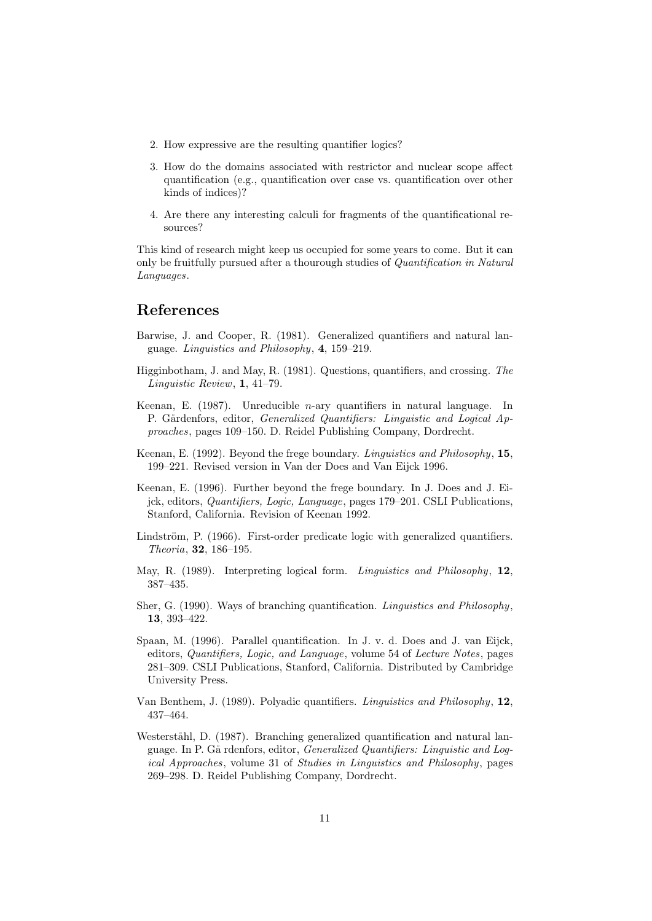- 2. How expressive are the resulting quantifier logics?
- 3. How do the domains associated with restrictor and nuclear scope affect quantification (e.g., quantification over case vs. quantification over other kinds of indices)?
- 4. Are there any interesting calculi for fragments of the quantificational resources?

This kind of research might keep us occupied for some years to come. But it can only be fruitfully pursued after a thourough studies of Quantification in Natural Languages.

# References

- Barwise, J. and Cooper, R. (1981). Generalized quantifiers and natural language. Linguistics and Philosophy, 4, 159–219.
- Higginbotham, J. and May, R. (1981). Questions, quantifiers, and crossing. The Linguistic Review, 1, 41–79.
- Keenan, E. (1987). Unreducible *n*-ary quantifiers in natural language. In P. Gårdenfors, editor, Generalized Quantifiers: Linguistic and Logical Approaches, pages 109–150. D. Reidel Publishing Company, Dordrecht.
- Keenan, E. (1992). Beyond the frege boundary. Linguistics and Philosophy, 15, 199–221. Revised version in Van der Does and Van Eijck 1996.
- Keenan, E. (1996). Further beyond the frege boundary. In J. Does and J. Eijck, editors, Quantifiers, Logic, Language, pages 179–201. CSLI Publications, Stanford, California. Revision of Keenan 1992.
- Lindström, P. (1966). First-order predicate logic with generalized quantifiers. Theoria, 32, 186–195.
- May, R. (1989). Interpreting logical form. Linguistics and Philosophy, 12, 387–435.
- Sher, G. (1990). Ways of branching quantification. Linguistics and Philosophy, 13, 393–422.
- Spaan, M. (1996). Parallel quantification. In J. v. d. Does and J. van Eijck, editors, Quantifiers, Logic, and Language, volume 54 of Lecture Notes, pages 281–309. CSLI Publications, Stanford, California. Distributed by Cambridge University Press.
- Van Benthem, J. (1989). Polyadic quantifiers. Linguistics and Philosophy, 12, 437–464.
- Westerståhl, D. (1987). Branching generalized quantification and natural language. In P. Gå rdenfors, editor, *Generalized Quantifiers: Linguistic and Log*ical Approaches, volume 31 of Studies in Linguistics and Philosophy, pages 269–298. D. Reidel Publishing Company, Dordrecht.